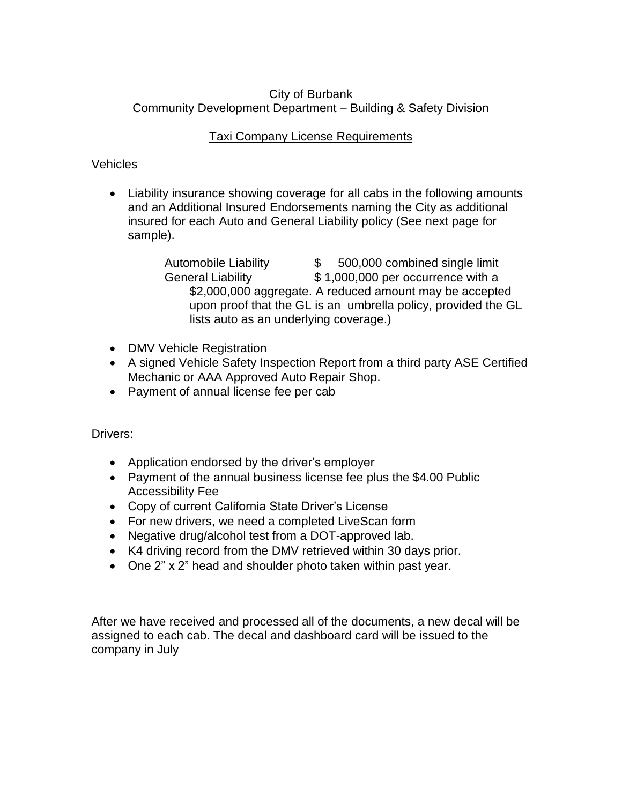# City of Burbank Community Development Department – Building & Safety Division

# Taxi Company License Requirements

# Vehicles

 Liability insurance showing coverage for all cabs in the following amounts and an Additional Insured Endorsements naming the City as additional insured for each Auto and General Liability policy (See next page for sample).

> Automobile Liability \$ 500,000 combined single limit General Liability  $$ 1,000,000$  per occurrence with a \$2,000,000 aggregate. A reduced amount may be accepted upon proof that the GL is an umbrella policy, provided the GL lists auto as an underlying coverage.)

- DMV Vehicle Registration
- A signed Vehicle Safety Inspection Report from a third party ASE Certified Mechanic or AAA Approved Auto Repair Shop.
- Payment of annual license fee per cab

# Drivers:

- Application endorsed by the driver's employer
- Payment of the annual business license fee plus the \$4.00 Public Accessibility Fee
- Copy of current California State Driver's License
- For new drivers, we need a completed LiveScan form
- Negative drug/alcohol test from a DOT-approved lab.
- K4 driving record from the DMV retrieved within 30 days prior.
- One 2" x 2" head and shoulder photo taken within past year.

After we have received and processed all of the documents, a new decal will be assigned to each cab. The decal and dashboard card will be issued to the company in July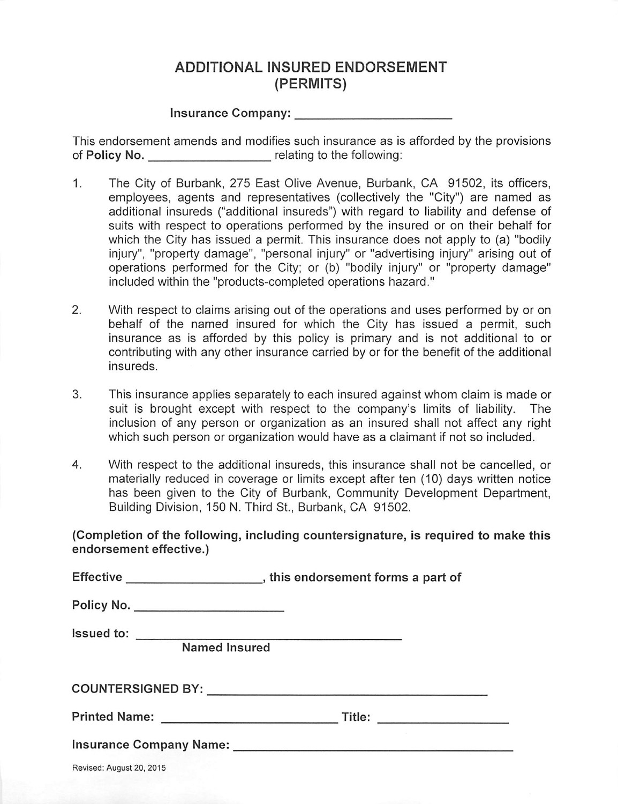# **ADDITIONAL INSURED ENDORSEMENT** (PERMITS)

#### Insurance Company:

This endorsement amends and modifies such insurance as is afforded by the provisions of Policy No. The relating to the following:

- $1.$ The City of Burbank, 275 East Olive Avenue, Burbank, CA 91502, its officers, employees, agents and representatives (collectively the "City") are named as additional insureds ("additional insureds") with regard to liability and defense of suits with respect to operations performed by the insured or on their behalf for which the City has issued a permit. This insurance does not apply to (a) "bodily injury", "property damage", "personal injury" or "advertising injury" arising out of operations performed for the City; or (b) "bodily injury" or "property damage" included within the "products-completed operations hazard."
- $2.$ With respect to claims arising out of the operations and uses performed by or on behalf of the named insured for which the City has issued a permit, such insurance as is afforded by this policy is primary and is not additional to or contributing with any other insurance carried by or for the benefit of the additional insureds.
- 3. This insurance applies separately to each insured against whom claim is made or suit is brought except with respect to the company's limits of liability. The inclusion of any person or organization as an insured shall not affect any right which such person or organization would have as a claimant if not so included.
- 4. With respect to the additional insureds, this insurance shall not be cancelled, or materially reduced in coverage or limits except after ten (10) days written notice has been given to the City of Burbank, Community Development Department, Building Division, 150 N. Third St., Burbank, CA 91502.

(Completion of the following, including countersignature, is required to make this endorsement effective.)

|                          | Policy No. _____________________ |
|--------------------------|----------------------------------|
|                          |                                  |
|                          | <b>Named Insured</b>             |
|                          |                                  |
|                          |                                  |
|                          |                                  |
| Revised: August 20, 2015 |                                  |